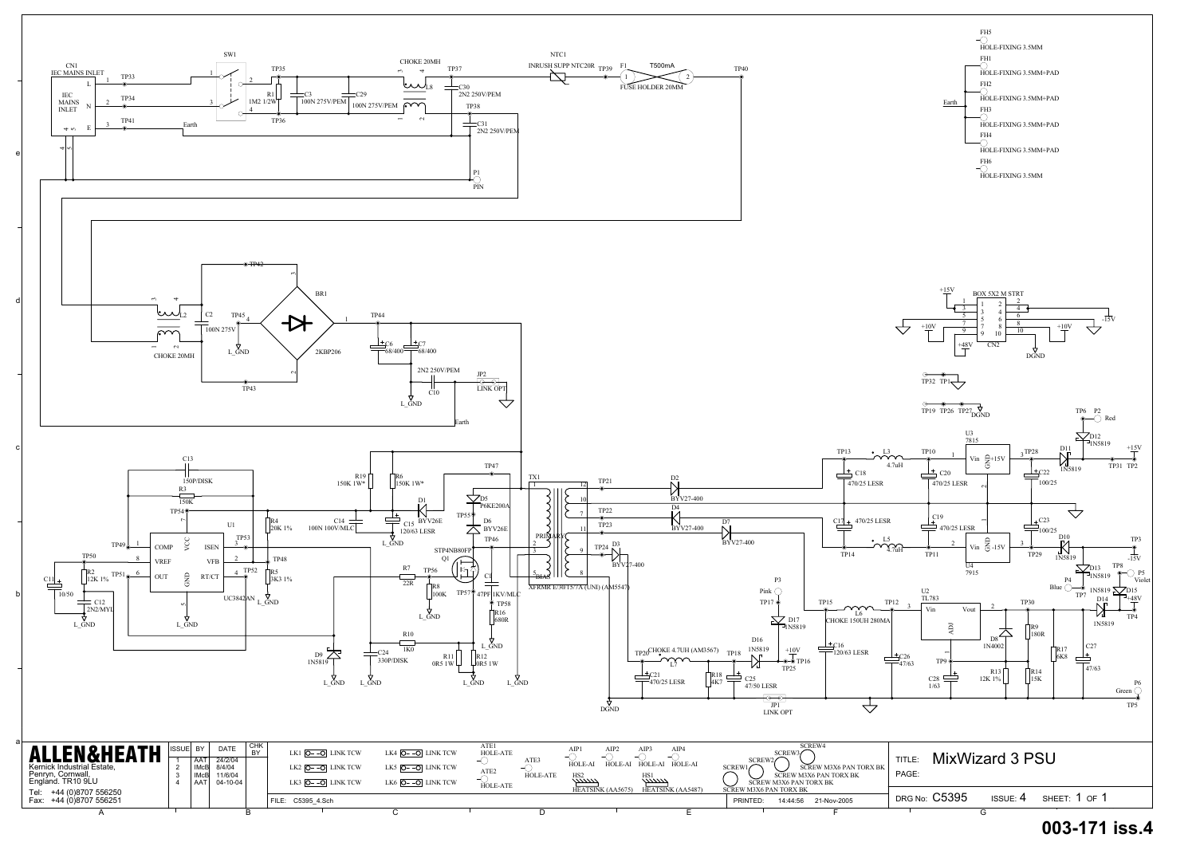

## **003-171 iss.4**